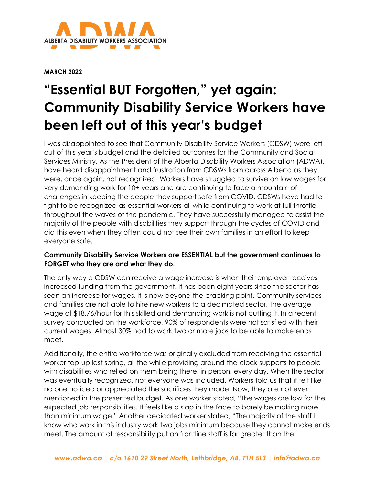

**MARCH 2022**

## **"Essential BUT Forgotten," yet again: Community Disability Service Workers have been left out of this year's budget**

I was disappointed to see that Community Disability Service Workers (CDSW) were left out of this year's budget and the detailed outcomes for the Community and Social Services Ministry. As the President of the Alberta Disability Workers Association (ADWA), I have heard disappointment and frustration from CDSWs from across Alberta as they were, once again, not recognized. Workers have struggled to survive on low wages for very demanding work for 10+ years and are continuing to face a mountain of challenges in keeping the people they support safe from COVID. CDSWs have had to fight to be recognized as essential workers all while continuing to work at full throttle throughout the waves of the pandemic. They have successfully managed to assist the majority of the people with disabilities they support through the cycles of COVID and did this even when they often could not see their own families in an effort to keep everyone safe.

## **Community Disability Service Workers are ESSENTIAL but the government continues to FORGET who they are and what they do.**

The only way a CDSW can receive a wage increase is when their employer receives increased funding from the government. It has been eight years since the sector has seen an increase for wages. It is now beyond the cracking point. Community services and families are not able to hire new workers to a decimated sector. The average wage of \$18.76/hour for this skilled and demanding work is not cutting it. In a recent survey conducted on the workforce, 90% of respondents were not satisfied with their current wages. Almost 30% had to work two or more jobs to be able to make ends meet.

Additionally, the entire workforce was originally excluded from receiving the essentialworker top-up last spring, all the while providing around-the-clock supports to people with disabilities who relied on them being there, in person, every day. When the sector was eventually recognized, not everyone was included. Workers told us that it felt like no one noticed or appreciated the sacrifices they made. Now, they are not even mentioned in the presented budget. As one worker stated, "The wages are low for the expected job responsibilities. It feels like a slap in the face to barely be making more than minimum wage." Another dedicated worker stated, "The majority of the staff I know who work in this industry work two jobs minimum because they cannot make ends meet. The amount of responsibility put on frontline staff is far greater than the